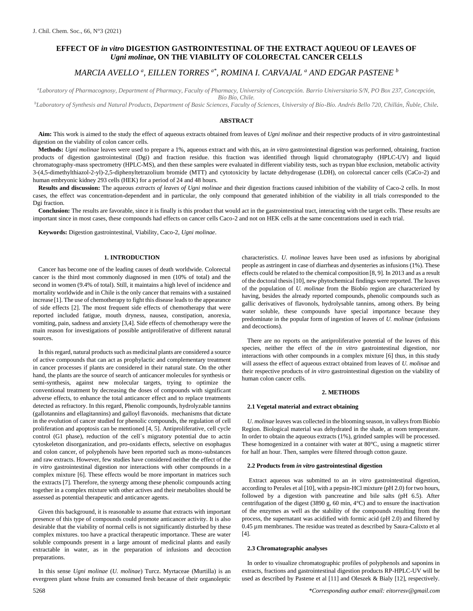# **EFFECT OF** *in vitro* **DIGESTION GASTROINTESTINAL OF THE EXTRACT AQUEOU OF LEAVES OF** *Ugni molinae***, ON THE VIABILITY OF COLORECTAL CANCER CELLS**

# *MARCIA AVELLO <sup>a</sup> , EILLEN TORRES a\*, ROMINA I. CARVAJAL <sup>a</sup> AND EDGAR PASTENE <sup>b</sup>*

*<sup>a</sup>Laboratory of Pharmacognosy, Department of Pharmacy, Faculty of Pharmacy, University of Concepción. Barrio Universitario S/N, PO Box 237, Concepción, Bío Bío, Chile.*

*<sup>b</sup>Laboratory of Synthesis and Natural Products, Department of Basic Sciences, Faculty of Sciences, University of Bío-Bío. Andrés Bello 720, Chillán, Ñuble, Chile.*

#### **ABSTRACT**

**Aim:** This work is aimed to the study the effect of aqueous extracts obtained from leaves of *Ugni molinae* and their respective products of *in vitro* gastrointestinal digestion on the viability of colon cancer cells.

**Methods:** *Ugni molinae* leaves were used to prepare a 1%, aqueous extract and with this, an *in vitro* gastrointestinal digestion was performed, obtaining, fraction products of digestion gastrointestinal (Dgi) and fraction residue. this fraction was identified through liquid chromatography (HPLC-UV) and liquid chromatography-mass spectrometry (HPLC-MS), and then these samples were evaluated in different viability tests, such as trypan blue exclusion, metabolic activity 3-(4,5[-di](https://en.wikipedia.org/wiki/Di-)[methyl](https://en.wikipedia.org/wiki/Methyl)[thiazol-](https://en.wikipedia.org/wiki/Thiazole)2-yl)-2,5-[diphenylte](https://en.wikipedia.org/wiki/Phenyl)trazolium bromide (MTT) and cytotoxicity by lactate dehydrogenase (LDH), on colorectal cancer cells (CaCo-2) and human embryonic kidney 293 cells (HEK) for a period of 24 and 48 hours.

**Results and discussion:** The aqueous *extracts of leaves of Ugni molinae* and their digestion fractions caused inhibition of the viability of Caco-2 cells. In most cases, the effect was concentration-dependent and in particular, the only compound that generated inhibition of the viability in all trials corresponded to the Dgi fraction.

**Conclusion:** The results are favorable, since it is finally is this product that would act in the gastrointestinal tract, interacting with the target cells. These results are important since in most cases, these compounds had effects on cancer cells Caco-2 and not on HEK cells at the same concentrations used in each trial.

**Keywords:** Digestion gastrointestinal, Viability, Caco-2, *Ugni molinae*.

#### **1. INTRODUCTION**

Cancer has become one of the leading causes of death worldwide. Colorectal cancer is the third most commonly diagnosed in men (10% of total) and the second in women (9.4% of total). Still, it maintains a high level of incidence and mortality worldwide and in Chile is the only cancer that remains with a sustained increase [1]. The use of chemotherapy to fight this disease leads to the appearance of side effects [2]. The most frequent side effects of chemotherapy that were reported included fatigue, mouth dryness, nausea, constipation, anorexia, vomiting, pain, sadness and anxiety [3,4]. Side effects of chemotherapy were the main reason for investigations of possible antiproliferative of different natural sources.

In this regard, natural products such as medicinal plants are considered a source of active compounds that can act as prophylactic and complementary treatment in cancer processes if plants are considered in their natural state. On the other hand, the plants are the source of search of anticancer molecules for synthesis or semi-synthesis, against new molecular targets, trying to optimize the conventional treatment by decreasing the doses of compounds with significant adverse effects, to enhance the total anticancer effect and to replace treatments detected as refractory. In this regard, Phenolic compounds, hydrolyzable tannins (gallotannins and ellagitannins) and galloyl flavonoids. mechanisms that dictate in the evolution of cancer studied for phenolic compounds, the regulation of cell proliferation and apoptosis can be mentioned [4, 5]. Antiproliferative, cell cycle control (G1 phase), reduction of the cell´s migratory potential due to actin cytoskeleton disorganization, and pro-oxidants effects, selective on esophagus and colon cancer, of polyphenols have been reported such as mono-substances and raw extracts. However, few studies have considered neither the effect of the *in vitro* gastrointestinal digestion nor interactions with other compounds in a complex mixture [6]. These effects would be more important in matrices such the extracts [7]. Therefore, the synergy among these phenolic compounds acting together in a complex mixture with other actives and their metabolites should be assessed as potential therapeutic and anticancer agents.

Given this background, it is reasonable to assume that extracts with important presence of this type of compounds could promote anticancer activity. It is also desirable that the viability of normal cells is not significantly disturbed by these complex mixtures. too have a practical therapeutic importance. These are water soluble compounds present in a large amount of medicinal plants and easily extractable in water, as in the preparation of infusions and decoction preparations.

In this sense *Ugni molinae* (*U. molinae*) Turcz. Myrtaceae (Murtilla) is an evergreen plant whose fruits are consumed fresh because of their organoleptic

characteristics. *U. molinae* leaves have been used as infusions by aboriginal people as astringent in case of diarrheas and dysenteries as infusions (1%). These effects could be related to the chemical composition [8, 9]. In 2013 and as a result of the doctoral thesis [10], new phytochemical findings were reported. The leaves of the population of *U. molinae* from the Biobío region are characterized by having, besides the already reported compounds, phenolic compounds such as gallic derivatives of flavonols, hydrolysable tannins, among others. By being water soluble, these compounds have special importance because they predominate in the popular form of ingestion of leaves of *U. molinae* (infusions and decoctions).

There are no reports on the antiproliferative potential of the leaves of this species, neither the effect of the *in vitro* gastrointestinal digestion, nor interactions with other compounds in a complex mixture [6] thus, in this study will assess the effect of aqueous extract obtained from leaves of *U. molinae* and their respective products of *in vitro* gastrointestinal digestion on the viability of human colon cancer cells.

#### **2. METHODS**

#### **2.1 Vegetal material and extract obtaining**

*U. molinae* leaves was collected in the blooming season, in valleys from Biobío Region. Biological material was dehydrated in the shade, at room temperature. In order to obtain the aqueous extracts (1%), grinded samples will be processed. These homogenized in a container with water at 80°C, using a magnetic stirrer for half an hour. Then, samples were filtered through cotton gauze.

#### **2.2 Products from** *in vitro* **gastrointestinal digestion**

Extract aqueous was submitted to an *in vitro* gastrointestinal digestion, according to Perales et al [10], with a pepsin-HCl mixture (pH 2.0) for two hours, followed by a digestion with pancreatine and bile salts (pH 6.5). After centrifugation of the digest (3890 g, 60 min,  $4^{\circ}$ C) and to ensure the inactivation of the enzymes as well as the stability of the compounds resulting from the process, the supernatant was acidified with formic acid (pH 2.0) and filtered by 0.45 µm membranes. The residue was treated as described by Saura-Calixto et al [4].

#### **2.3 Chromatographic analyses**

In order to visualize chromatographic profiles of polyphenols and saponins in extracts, fractions and gastrointestinal digestion products RP-HPLC-UV will be used as described by Pastene et al [11] and Oleszek & Bialy [12], respectively.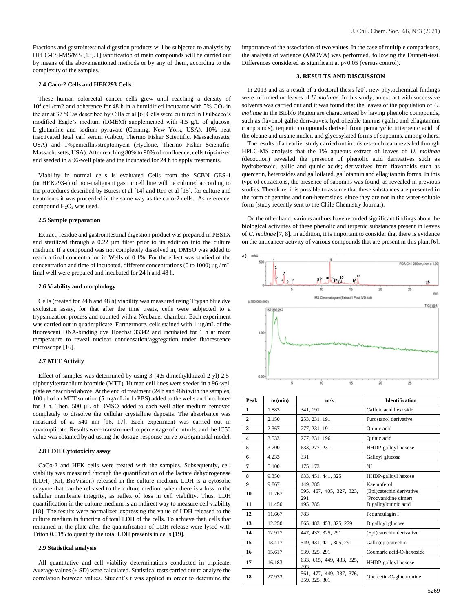Fractions and gastrointestinal digestion products will be subjected to analysis by HPLC-ESI-MS/MS [13]. Quantification of main compounds will be carried out by means of the abovementioned methods or by any of them, according to the complexity of the samples.

# **2.4 Caco-2 Cells and HEK293 Cells**

These human colorectal cancer cells grew until reaching a density of  $10^4$  cell/cm2 and adherence for 48 h in a humidified incubator with 5%  $CO<sub>2</sub>$  in the air at 37 °C as described by Cilla et al [6] Cells were cultured in Dulbecco's modified Eagle's medium (DMEM) supplemented with 4.5 g/L of glucose, L-glutamine and sodium pyruvate (Corning, New York, USA), 10% heat inactivated fetal calf serum (Gibco, Thermo Fisher Scientific, Massachusetts, USA) and 1%penicillin/streptomycin (Hyclone, Thermo Fisher Scientific, Massachusetts, USA). After reaching 80% to 90% of confluence, cells tripsinized and seeded in a 96-well plate and the incubated for 24 h to apply treatments.

Viability in normal cells is evaluated Cells from the SCBN GES-1 (or HEK293-t) of non-malignant gastric cell line will be cultured according to the procedures described by Buresi et al [14] and Ren et al [15], for culture and treatments it was proceeded in the same way as the caco-2 cells. As reference, compound  $H_2O_2$  was used.

#### **2.5 Sample preparation**

Extract, residue and gastrointestinal digestion product was prepared in PBS1X and sterilized through a 0.22 µm filter prior to its addition into the culture medium. If a compound was not completely dissolved in, DMSO was added to reach a final concentration in Wells of 0.1%. For the effect was studied of the concentration and time of incubated, different concentrations (0 to 1000) ug / mL final well were prepared and incubated for 24 h and 48 h.

#### **2.6 Viability and morphology**

Cells (treated for 24 h and 48 h) viability was measured using Trypan blue dye exclusion assay, for that after the time treats, cells were subjected to a trypsinization process and counted with a Neubauer chamber. Each experiment was carried out in quadruplicate. Furthermore, cells stained with 1 µg/mL of the fluorescent DNA-binding dye Hoechst 33342 and incubated for 1 h at room temperature to reveal nuclear condensation/aggregation under fluorescence microscope [16].

## **2.7 MTT Activity**

Effect of samples was determined by using 3-(4,5-dimethylthiazol-2-yl)-2,5 diphenyltetrazolium bromide (MTT). Human cell lines were seeded in a 96-well plate as described above. At the end of treatment (24 h and 48h) with the samples, 100 µl of an MTT solution (5 mg/mL in 1xPBS) added to the wells and incubated for 3 h. Then, 500 µL of DMSO added to each well after medium removed completely to dissolve the cellular crystalline deposits. The absorbance was measured of at 540 nm [16, 17]. Each experiment was carried out in quadruplicate. Results were transformed to percentage of controls, and the IC50 value was obtained by adjusting the dosage-response curve to a sigmoidal model.

#### **2.8 LDH Cytotoxicity assay**

CaCo-2 and HEK cells were treated with the samples. Subsequently, cell viability was measured through the quantification of the lactate dehydrogenase (LDH) (Kit, BioVision) released in the culture medium. LDH is a cytosolic enzyme that can be released to the culture medium when there is a loss in the cellular membrane integrity, as reflex of loss in cell viability. Thus, LDH quantification in the culture medium is an indirect way to measure cell viability [18]. The results were normalized expressing the value of LDH released to the culture medium in function of total LDH of the cells. To achieve that, cells that remained in the plate after the quantification of LDH release were lysed with Triton 0.01% to quantify the total LDH presents in cells [19].

# **2.9 Statistical analysis**

All quantitative and cell viability determinations conducted in triplicate. Average values  $(\pm SD)$  were calculated. Statistical tests carried out to analyze the correlation between values. Student's t was applied in order to determine the

importance of the association of two values. In the case of multiple comparisons, the analysis of variance (ANOVA) was performed, following the Dunnett-test. Differences considered as significant at p<0.05 (versus control).

### **3. RESULTS AND DISCUSSION**

In 2013 and as a result of a doctoral thesis [20], new phytochemical findings were informed on leaves of *U. molinae*. In this study, an extract with successive solvents was carried out and it was found that the leaves of the population of *U. molinae* in the Biobío Region are characterized by having phenolic compounds, such as flavonol gallic derivatives, hydrolizable tannins (gallic and ellagitannin compounds), terpenic compounds derived from pentacyclic triterpenic acid of the oleane and ursane nuclei, and glycosylated forms of saponins, among others.

The results of an earlier study carried out in this research team revealed through HPLC-MS analysis that the 1% aqueous extract of leaves of *U. molinae* (decoction) revealed the presence of phenolic acid derivatives such as hydrobenzoic, gallic and quinic acids; derivatives from flavonoids such as quercetin, heterosides and galloilated, gallotannin and ellagitannin forms. In this type of ectractions, the presence of saponins was found, as revealed in previous studies. Therefore, it is possible to assume that these substances are presented in the form of gennins and non-heterosides, since they are not in the water-soluble form (study recently sent to the Chile Chemistry Journal).

On the other hand, various authors have recorded significant findings about the biological activities of these phenolic and terpenic substances present in leaves of *U. molinae* [7, 8]. In addition, it is important to consider that there is evidence on the anticancer activity of various compounds that are present in this plant [6].



| Peak                    | $t_{R}$ (min) | m/z                                       | <b>Identification</b>                            |  |  |
|-------------------------|---------------|-------------------------------------------|--------------------------------------------------|--|--|
| 1                       | 1.883         | 341, 191                                  | Caffeic acid hexoside                            |  |  |
| $\mathbf{2}$            | 2.150         | 253, 231, 191                             | <b>Furostanol derivative</b>                     |  |  |
| 3                       | 2.367         | 277, 231, 191                             | Quinic acid                                      |  |  |
| $\overline{\mathbf{4}}$ | 3.533         | 277, 231, 196                             | Quinic acid                                      |  |  |
| 5                       | 3.700         | 633, 277, 231                             | HHDP-galloyl hexose                              |  |  |
| 6                       | 4.233         | 331                                       | Galloyl glucosa                                  |  |  |
| 7                       | 5.100         | 175, 173                                  | NI                                               |  |  |
| 8                       | 9.350         | 633, 451, 441, 325                        | HHDP-galloyl hexose                              |  |  |
| 9                       | 9.867         | 449.285                                   | Kaempferol                                       |  |  |
| 10                      | 11.267        | 595, 467, 405, 327, 323,<br>291           | (Epi)catechin derivative<br>(Procvanidine dimer) |  |  |
| 11                      | 11.450        | 495, 285                                  | Digalloylquinic acid                             |  |  |
| 12                      | 11.667        | 783                                       | Pedunculagin I                                   |  |  |
| 13                      | 12.250        | 865, 483, 453, 325, 279                   | Digalloyl glucose                                |  |  |
| 14                      | 12.917        | 447, 437, 325, 291                        | (Epi)catechin derivative                         |  |  |
| 15                      | 13.417        | 549, 431, 421, 305, 291                   | Gallo(epi)catechin                               |  |  |
| 16                      | 15.617        | 539, 325, 291                             | Coumaric acid-O-hexoside                         |  |  |
| 17                      | 16.183        | 633, 615, 449, 433, 325,<br>293           | HHDP-galloyl hexose                              |  |  |
| 18                      | 27.933        | 561, 477, 449, 387, 376,<br>359, 325, 301 | Quercetin-O-glucuronide                          |  |  |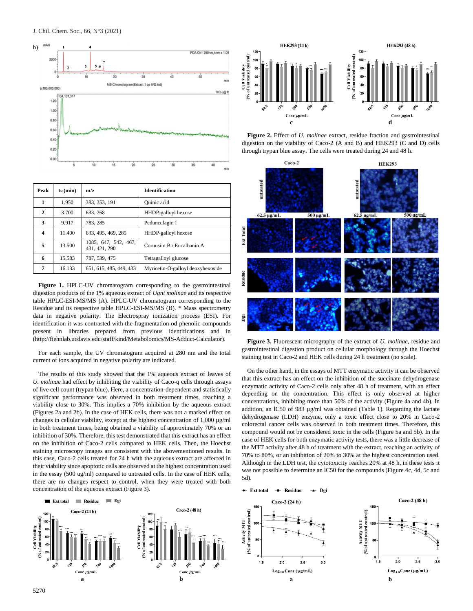

| Peak | $t_{R}$ (min) | m/z                                   | <b>Identification</b>             |
|------|---------------|---------------------------------------|-----------------------------------|
| 1    | 1.950         | 383, 353, 191                         | Quinic acid                       |
| 2    | 3.700         | 633.268                               | HHDP-galloyl hexose               |
| 3    | 9.917         | 783, 285                              | Pedunculagin I                    |
| 4    | 11.400        | 633, 495, 469, 285                    | HHDP-galloyl hexose               |
| 5    | 13.500        | 1085, 647, 542, 467,<br>431, 421, 290 | Cornusiin B / Eucalbanin A        |
| 6    | 15.583        | 787, 539, 475                         | Tetragalloyl glucose              |
| 7    | 16.133        | 651, 615, 485, 449, 433               | Myricetin-O-galloyl deoxyhexoside |

**Figure 1.** HPLC-UV chromatogram corresponding to the gastrointestinal digestion products of the 1% aqueous extract of *Ugni molinae* and its respective table HPLC-ESI-MS/MS (A). HPLC-UV chromatogram corresponding to the Residue and its respective table HPLC-ESI-MS/MS (B). \* Mass spectrometry data in negative polarity. The Electrospray ionization process (ESI). For identification it was contrasted with the fragmentation od phenolic compounds present in libraries prepared from previous identifications and in [\(http://fiehnlab.ucdavis.edu/staff/kind/Metabolomics/MS-Adduct-Calculator\)](http://fiehnlab.ucdavis.edu/staff/kind/Metabolomics/MS-Adduct-Calculator).

For each sample, the UV chromatogram acquired at 280 nm and the total current of ions acquired in negative polarity are indicated.

The results of this study showed that the 1% aqueous extract of leaves of *U. molinae* had effect by inhibiting the viability of Caco-q cells through assays of live cell count (trypan blue). Here, a concentration-dependent and statistically significant performance was observed in both treatment times, reaching a viability close to 30%. This implies a 70% inhibition by the aqueous extract (Figures 2a and 2b). In the case of HEK cells, there was not a marked effect on changes in cellular viability, except at the highest concentration of 1,000 µg/ml in both treatment times, being obtained a viability of approximately 70% or an inhibition of 30%. Therefore, this test demonstrated that this extract has an effect on the inhibition of Caco-2 cells compared to HEK cells. Then, the Hoechst staining microscopy images are consistent with the abovementioned results. In this case, Caco-2 cells treated for 24 h with the aqueous extract are affected in their viability since apoptotic cells are observed at the highest concentration used in the essay (500 ug/ml) compared to untreated cells. In the case of HEK cells, there are no changes respect to control, when they were treated with both concentration of the aqueous extract (Figure 3).



**Figure 2.** Effect of *U. molinae* extract, residue fraction and gastrointestinal digestion on the viability of Caco-2 (A and B) and HEK293 (C and D) cells through trypan blue assay. The cells were treated during 24 and 48 h.



**Figure 3.** Fluorescent micrography of the extract of *U. molinae,* residue and gastrointestinal digestion product on cellular morphology through the Hoechst staining test in Caco-2 and HEK cells during 24 h treatment (no scale).

On the other hand, in the essays of MTT enzymatic activity it can be observed that this extract has an effect on the inhibition of the succinate dehydrogenase enzymatic activity of Caco-2 cells only after 48 h of treatment, with an effect depending on the concentration. This effect is only observed at higher concentrations, inhibiting more than 50% of the activity (Figure 4a and 4b). In addition, an lC50 of 983 µg/ml was obtained (Table 1). Regarding the lactate dehydrogenase (LDH) enzyme, only a toxic effect close to 20% in Caco-2 colorectal cancer cells was observed in both treatment times. Therefore, this compound would not be considered toxic in the cells (Figure 5a and 5b). In the case of HEK cells for both enzymatic activity tests, there was a little decrease of the MTT activity after 48 h of treatment with the extract, reaching an activity of 70% to 80%, or an inhibition of 20% to 30% at the highest concentration used. Although in the LDH test, the cytotoxicity reaches 20% at 48 h, in these tests it was not possible to determine an lC50 for the compounds (Figure 4c, 4d, 5c and 5d).



 $\leftarrow$  Ext total

- Residue

 $\rightarrow$  Dgi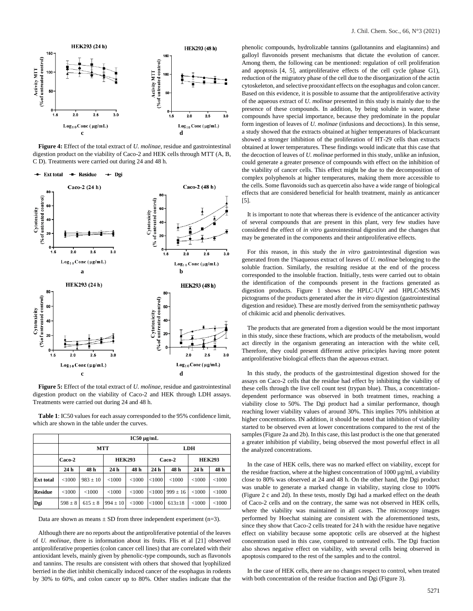

**Figure 4:** Effect of the total extract of *U. molinae*, residue and gastrointestinal digestion product on the viability of Caco-2 and HEK cells through MTT (A, B, C D). Treatments were carried out during 24 and 48 h.



 $\overline{3.0}$ 

 $3.0$ 

digestion product on the viability of Caco-2 and HEK through LDH assays. Treatments were carried out during 24 and 48 h.

**Table 1**: IC50 values for each assay corresponded to the 95% confidence limit, which are shown in the table under the curves.

|                  | $IC50 \mu g/mL$ |              |                 |        |            |              |                 |        |  |  |
|------------------|-----------------|--------------|-----------------|--------|------------|--------------|-----------------|--------|--|--|
|                  | <b>MTT</b>      |              |                 |        | <b>LDH</b> |              |                 |        |  |  |
|                  | Caco-2          |              | <b>HEK293</b>   |        | Caco-2     |              | <b>HEK293</b>   |        |  |  |
|                  | 24 h            | 48 h         | 24 <sub>h</sub> | 48 h   | 24 h       | 48 h         | 24 <sub>h</sub> | 48 h   |  |  |
| <b>Ext total</b> | < 1000          | $983 \pm 10$ | < 1000          | < 1000 | < 1000     | < 1000       | < 1000          | < 1000 |  |  |
| <b>Residue</b>   | < 1000          | < 1000       | < 1000          | < 1000 | $<$ 1000   | $999 \pm 16$ | <1000           | < 1000 |  |  |
| Dgi              | $598 \pm 8$     | $615 \pm 8$  | $994 \pm 10$    | < 1000 | < 1000     | $613 \pm 18$ | < 1000          | < 1000 |  |  |

Data are shown as means  $\pm$  SD from three independent experiment (n=3).

Although there are no reports about the antiproliferative potential of the leaves of *U. molinae*, there is information about its fruits. Flis et al [21] observed antiproliferative properties (colon cancer cell lines) that are correlated with their antioxidant levels, mainly given by phenolic-type compounds, such as flavonols and tannins. The results are consistent with others that showed that lyophilized berried in the diet inhibit chemically induced cancer of the esophagus in rodents by 30% to 60%, and colon cancer up to 80%. Other studies indicate that the

phenolic compounds, hydrolizable tannins (gallotannins and elagitannins) and galloyl flavonoids present mechanisms that dictate the evolution of cancer. Among them, the following can be mentioned: regulation of cell proliferation and apoptosis [4, 5], antiproliferative effects of the cell cycle (phase G1), reduction of the migratory phase of the cell due to the disorganization of the actin cytoskeleton, and selective prooxidant effects on the esophagus and colon cancer. Based on this evidence, it is possible to assume that the antiproliferative activity of the aqueous extract of *U. molinae* presented in this study is mainly due to the presence of these compounds. In addition, by being soluble in water, these compounds have special importance, because they predominate in the popular form ingestion of leaves of *U. molinae* (infusions and decoctions). In this sense, a study showed that the extracts obtained at higher temperatures of blackcurrant showed a stronger inhibition of the proliferation of HT-29 cells than extracts obtained at lower temperatures. These findings would indicate that this case that the decoction of leaves of *U. molinae* performed in this study, unlike an infusion, could generate a greater presence of compounds with effect on the inhibition of the viability of cancer cells. This effect might be due to the decomposition of complex polyphenols at higher temperatures, making them more accessible to the cells. Some flavonoids such as quercetin also have a wide range of biological effects that are considered beneficial for health treatment, mainly as anticancer [5].

It is important to note that whereas there is evidence of the anticancer activity of several compounds that are present in this plant, very few studies have considered the effect of *in vitro* gastrointestinal digestion and the changes that may be generated in the components and their antiproliferative effects.

For this reason, in this study the *in vitro* gastrointestinal digestion was generated from the 1%aqueous extract of leaves of *U. molinae* belonging to the soluble fraction. Similarly, the resulting residue at the end of the process corresponded to the insoluble fraction. Initially, tests were carried out to obtain the identification of the compounds present in the fractions generated as digestion products. Figure 1 shows the HPLC-UV and HPLC-MS/MS pictograms of the products generated after the *in vitro* digestion (gastrointestinal digestion and residue). These are mostly derived from the semisynthetic pathway of chikimic acid and phenolic derivatives.

The products that are generated from a digestion would be the most important in this study, since these fractions, which are products of the metabolism, would act directly in the organism generating an interaction with the white cell, Therefore, they could present different active principles having more potent antiproliferative biological effects than the aqueous extract.

In this study, the products of the gastrointestinal digestion showed for the assays on Caco-2 cells that the residue had effect by inhibiting the viability of these cells through the live cell count test (trypan blue). Thus, a concentrationdependent performance was observed in both treatment times, reaching a viability close to 50%. The Dgi product had a similar performance, though reaching lower viability values of around 30%. This implies 70% inhibition at higher concentrations. IN addition, it should be noted that inhibition of viability started to be observed even at lower concentrations compared to the rest of the samples (Figure 2a and 2b). In this case, this last product is the one that generated a greater inhibition pf viability, being observed the most powerful effect in all the analyzed concentrations.

In the case of HEK cells, there was no marked effect on viability, except for the residue fraction, where at the highest concentration of  $1000 \mu g/ml$ , a viability close to 80% was observed at 24 and 48 h. On the other hand, the Dgi product was unable to generate a marked change in viability, staying close to 100% (Figure 2 c and 2d). In these tests, mostly Dgi had a marked effect on the death of Caco-2 cells and on the contrary, the same was not observed in HEK cells, where the viability was maintained in all cases. The microscopy images performed by Hoechat staining are consistent with the aforementioned tests, since they show that Caco-2 cells treated for 24 h with the residue have negative effect on viability because some apoptotic cells are observed at the highest concentration used in this case, compared to untreated cells. The Dgi fraction also shows negative effect on viability, with several cells being observed in apoptosis compared to the rest of the samples and to the control.

In the case of HEK cells, there are no changes respect to control, when treated with both concentration of the residue fraction and Dgi (Figure 3).